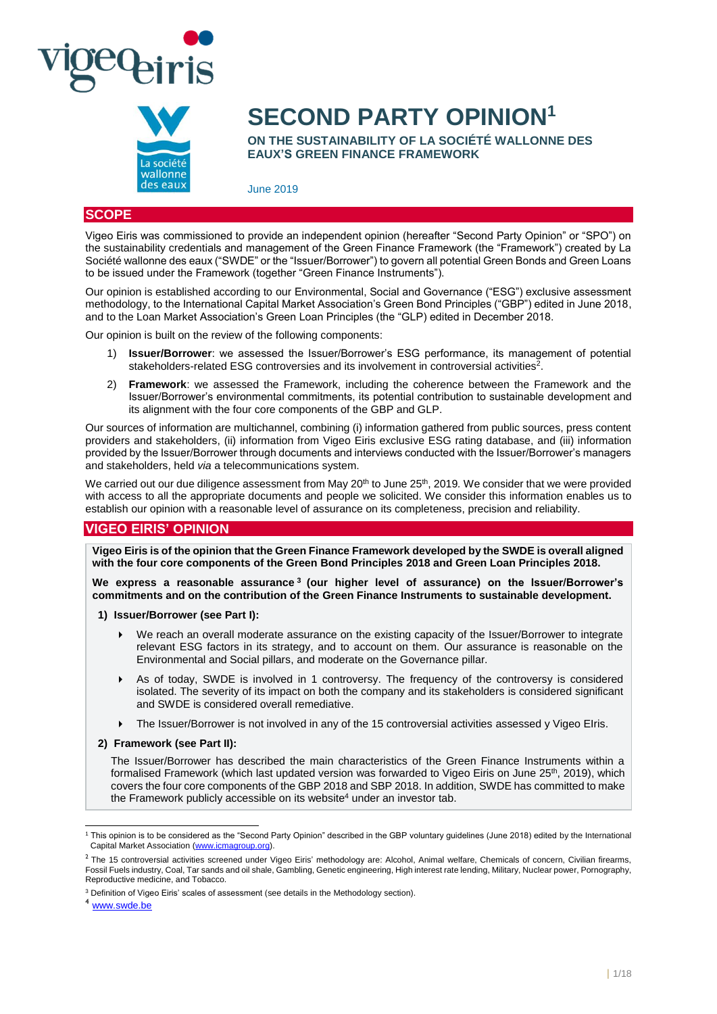



# **SECOND PARTY OPINION<sup>1</sup>**

**ON THE SUSTAINABILITY OF LA SOCIÉTÉ WALLONNE DES EAUX'S GREEN FINANCE FRAMEWORK**

June 2019

## **SCOPE**

Vigeo Eiris was commissioned to provide an independent opinion (hereafter "Second Party Opinion" or "SPO") on the sustainability credentials and management of the Green Finance Framework (the "Framework") created by La Société wallonne des eaux ("SWDE" or the "Issuer/Borrower") to govern all potential Green Bonds and Green Loans to be issued under the Framework (together "Green Finance Instruments").

Our opinion is established according to our Environmental, Social and Governance ("ESG") exclusive assessment methodology, to the International Capital Market Association's Green Bond Principles ("GBP") edited in June 2018, and to the Loan Market Association's Green Loan Principles (the "GLP) edited in December 2018.

Our opinion is built on the review of the following components:

- 1) **Issuer/Borrower**: we assessed the Issuer/Borrower's ESG performance, its management of potential stakeholders-related ESG controversies and its involvement in controversial activities<sup>2</sup>.
- 2) **Framework**: we assessed the Framework, including the coherence between the Framework and the Issuer/Borrower's environmental commitments, its potential contribution to sustainable development and its alignment with the four core components of the GBP and GLP.

Our sources of information are multichannel, combining (i) information gathered from public sources, press content providers and stakeholders, (ii) information from Vigeo Eiris exclusive ESG rating database, and (iii) information provided by the Issuer/Borrower through documents and interviews conducted with the Issuer/Borrower's managers and stakeholders, held *via* a telecommunications system.

We carried out our due diligence assessment from May 20<sup>th</sup> to June 25<sup>th</sup>, 2019. We consider that we were provided with access to all the appropriate documents and people we solicited. We consider this information enables us to establish our opinion with a reasonable level of assurance on its completeness, precision and reliability.

## **VIGEO EIRIS' OPINION**

**Vigeo Eiris is of the opinion that the Green Finance Framework developed by the SWDE is overall aligned with the four core components of the Green Bond Principles 2018 and Green Loan Principles 2018.** 

**We express a reasonable assurance <sup>3</sup> (our higher level of assurance) on the Issuer/Borrower's commitments and on the contribution of the Green Finance Instruments to sustainable development.**

- **1) Issuer/Borrower (see Part I):** 
	- We reach an overall moderate assurance on the existing capacity of the Issuer/Borrower to integrate relevant ESG factors in its strategy, and to account on them. Our assurance is reasonable on the Environmental and Social pillars, and moderate on the Governance pillar.
	- As of today, SWDE is involved in 1 controversy. The frequency of the controversy is considered isolated. The severity of its impact on both the company and its stakeholders is considered significant and SWDE is considered overall remediative.
	- ▶ The Issuer/Borrower is not involved in any of the 15 controversial activities assessed y Vigeo Elris.
- **2) Framework (see Part II):**

The Issuer/Borrower has described the main characteristics of the Green Finance Instruments within a formalised Framework (which last updated version was forwarded to Vigeo Eiris on June 25<sup>th</sup>, 2019), which covers the four core components of the GBP 2018 and SBP 2018. In addition, SWDE has committed to make the Framework publicly accessible on its website<sup>4</sup> under an investor tab.

<sup>4</sup> [www.swde.be](http://www.swde.be/)

l <sup>1</sup> This opinion is to be considered as the "Second Party Opinion" described in the GBP voluntary guidelines (June 2018) edited by the International Capital Market Association [\(www.icmagroup.org\)](file://///FCH01001/entreprises$/C157525/partage/Production%20NS/Missions%20en%20cours/685%20-%20Livelihoods/Deliverables/SPO/www.icmagroup.org).

<sup>&</sup>lt;sup>2</sup> The 15 controversial activities screened under Vigeo Eiris' methodology are: Alcohol, Animal welfare, Chemicals of concern, Civilian firearms, Fossil Fuels industry, Coal, Tar sands and oil shale, Gambling, Genetic engineering, High interest rate lending, Military, Nuclear power, Pornography, Reproductive medicine, and Tobacco.

<sup>&</sup>lt;sup>3</sup> Definition of Vigeo Eiris' scales of assessment (see details in the Methodology section).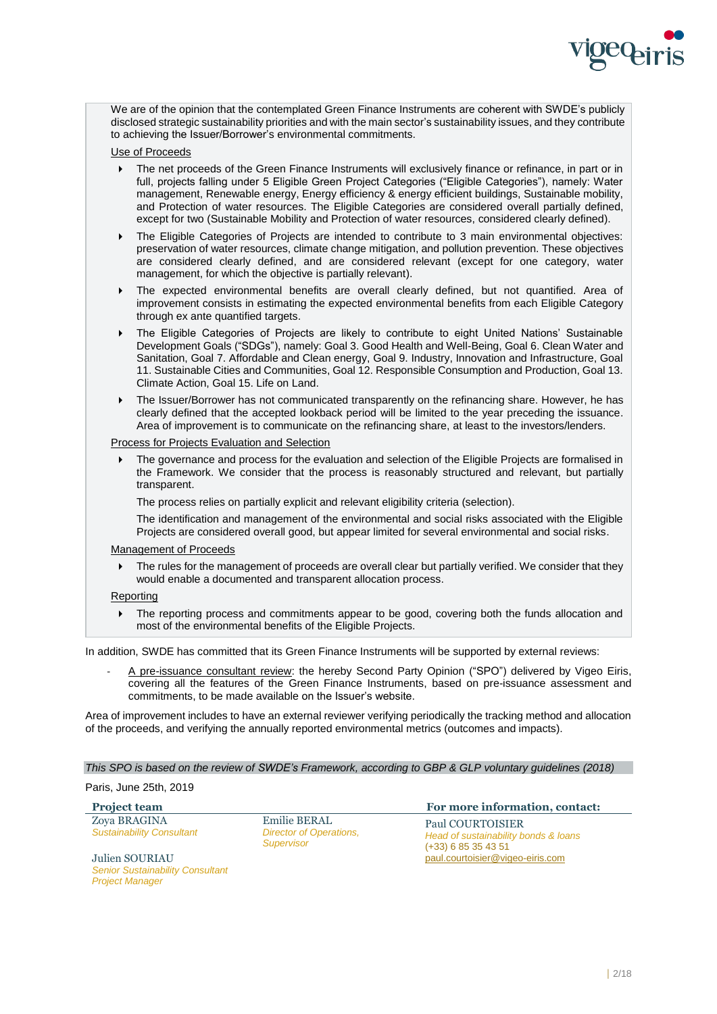

We are of the opinion that the contemplated Green Finance Instruments are coherent with SWDE's publicly disclosed strategic sustainability priorities and with the main sector's sustainability issues, and they contribute to achieving the Issuer/Borrower's environmental commitments.

#### Use of Proceeds

- The net proceeds of the Green Finance Instruments will exclusively finance or refinance, in part or in full, projects falling under 5 Eligible Green Project Categories ("Eligible Categories"), namely: Water management, Renewable energy, Energy efficiency & energy efficient buildings, Sustainable mobility, and Protection of water resources. The Eligible Categories are considered overall partially defined, except for two (Sustainable Mobility and Protection of water resources, considered clearly defined).
- The Eligible Categories of Projects are intended to contribute to 3 main environmental objectives: preservation of water resources, climate change mitigation, and pollution prevention. These objectives are considered clearly defined, and are considered relevant (except for one category, water management, for which the objective is partially relevant).
- The expected environmental benefits are overall clearly defined, but not quantified. Area of improvement consists in estimating the expected environmental benefits from each Eligible Category through ex ante quantified targets.
- The Eligible Categories of Projects are likely to contribute to eight United Nations' Sustainable Development Goals ("SDGs"), namely: Goal 3. Good Health and Well-Being, Goal 6. Clean Water and Sanitation, Goal 7. Affordable and Clean energy, Goal 9. Industry, Innovation and Infrastructure, Goal 11. Sustainable Cities and Communities, Goal 12. Responsible Consumption and Production, Goal 13. Climate Action, Goal 15. Life on Land.
- The Issuer/Borrower has not communicated transparently on the refinancing share. However, he has clearly defined that the accepted lookback period will be limited to the year preceding the issuance. Area of improvement is to communicate on the refinancing share, at least to the investors/lenders.

#### Process for Projects Evaluation and Selection

 The governance and process for the evaluation and selection of the Eligible Projects are formalised in the Framework. We consider that the process is reasonably structured and relevant, but partially transparent.

The process relies on partially explicit and relevant eligibility criteria (selection).

The identification and management of the environmental and social risks associated with the Eligible Projects are considered overall good, but appear limited for several environmental and social risks.

#### Management of Proceeds

 The rules for the management of proceeds are overall clear but partially verified. We consider that they would enable a documented and transparent allocation process.

#### **Reporting**

▶ The reporting process and commitments appear to be good, covering both the funds allocation and most of the environmental benefits of the Eligible Projects.

In addition, SWDE has committed that its Green Finance Instruments will be supported by external reviews:

A pre-issuance consultant review: the hereby Second Party Opinion ("SPO") delivered by Vigeo Eiris, covering all the features of the Green Finance Instruments, based on pre-issuance assessment and commitments, to be made available on the Issuer's website.

Area of improvement includes to have an external reviewer verifying periodically the tracking method and allocation of the proceeds, and verifying the annually reported environmental metrics (outcomes and impacts).

#### *This SPO is based on the review of SWDE's Framework, according to GBP & GLP voluntary guidelines (2018)*

#### Paris, June 25th, 2019

| <b>Project team</b>                                                                 |                                                                     | For more information, contact:                                                           |
|-------------------------------------------------------------------------------------|---------------------------------------------------------------------|------------------------------------------------------------------------------------------|
| Zova BRAGINA<br><b>Sustainability Consultant</b>                                    | <b>Emilie BERAL</b><br>Director of Operations,<br><b>Supervisor</b> | <b>Paul COURTOISIER</b><br>Head of sustainability bonds & loans<br>$(+33)$ 6 85 35 43 51 |
| Julien SOURIAU<br><b>Senior Sustainability Consultant</b><br><b>Project Manager</b> |                                                                     | paul.courtoisier@vigeo-eiris.com                                                         |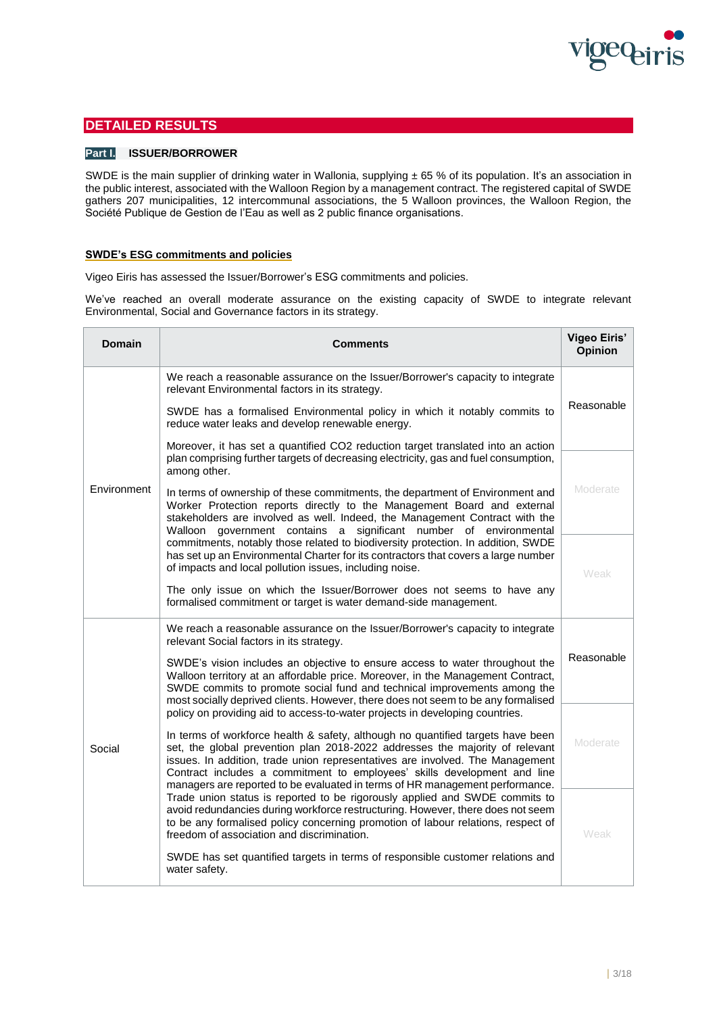

## **DETAILED RESULTS**

## **Part I. ISSUER/BORROWER**

SWDE is the main supplier of drinking water in Wallonia, supplying  $\pm$  65 % of its population. It's an association in the public interest, associated with the Walloon Region by a management contract. The registered capital of SWDE gathers 207 municipalities, 12 intercommunal associations, the 5 Walloon provinces, the Walloon Region, the Société Publique de Gestion de l'Eau as well as 2 public finance organisations.

## **SWDE's ESG commitments and policies**

Vigeo Eiris has assessed the Issuer/Borrower's ESG commitments and policies.

We've reached an overall moderate assurance on the existing capacity of SWDE to integrate relevant Environmental, Social and Governance factors in its strategy.

| Domain      | <b>Comments</b>                                                                                                                                                                                                                                                                                                                  | <b>Vigeo Eiris'</b><br>Opinion |
|-------------|----------------------------------------------------------------------------------------------------------------------------------------------------------------------------------------------------------------------------------------------------------------------------------------------------------------------------------|--------------------------------|
|             | We reach a reasonable assurance on the Issuer/Borrower's capacity to integrate<br>relevant Environmental factors in its strategy.                                                                                                                                                                                                |                                |
|             | SWDE has a formalised Environmental policy in which it notably commits to<br>reduce water leaks and develop renewable energy.                                                                                                                                                                                                    | Reasonable                     |
|             | Moreover, it has set a quantified CO2 reduction target translated into an action<br>plan comprising further targets of decreasing electricity, gas and fuel consumption,<br>among other.                                                                                                                                         |                                |
| Environment | In terms of ownership of these commitments, the department of Environment and<br>Worker Protection reports directly to the Management Board and external<br>stakeholders are involved as well. Indeed, the Management Contract with the<br>Walloon government contains a significant number of environmental                     | Moderate                       |
|             | commitments, notably those related to biodiversity protection. In addition, SWDE<br>has set up an Environmental Charter for its contractors that covers a large number<br>of impacts and local pollution issues, including noise.                                                                                                | Weak                           |
|             | The only issue on which the Issuer/Borrower does not seems to have any<br>formalised commitment or target is water demand-side management.                                                                                                                                                                                       |                                |
|             | We reach a reasonable assurance on the Issuer/Borrower's capacity to integrate<br>relevant Social factors in its strategy.                                                                                                                                                                                                       |                                |
|             | SWDE's vision includes an objective to ensure access to water throughout the<br>Walloon territory at an affordable price. Moreover, in the Management Contract,<br>SWDE commits to promote social fund and technical improvements among the<br>most socially deprived clients. However, there does not seem to be any formalised | Reasonable                     |
|             | policy on providing aid to access-to-water projects in developing countries.<br>In terms of workforce health & safety, although no quantified targets have been                                                                                                                                                                  |                                |
| Social      | set, the global prevention plan 2018-2022 addresses the majority of relevant<br>issues. In addition, trade union representatives are involved. The Management<br>Contract includes a commitment to employees' skills development and line<br>managers are reported to be evaluated in terms of HR management performance.        | Moderate                       |
|             | Trade union status is reported to be rigorously applied and SWDE commits to<br>avoid redundancies during workforce restructuring. However, there does not seem<br>to be any formalised policy concerning promotion of labour relations, respect of<br>freedom of association and discrimination.                                 | Weak                           |
|             | SWDE has set quantified targets in terms of responsible customer relations and<br>water safety.                                                                                                                                                                                                                                  |                                |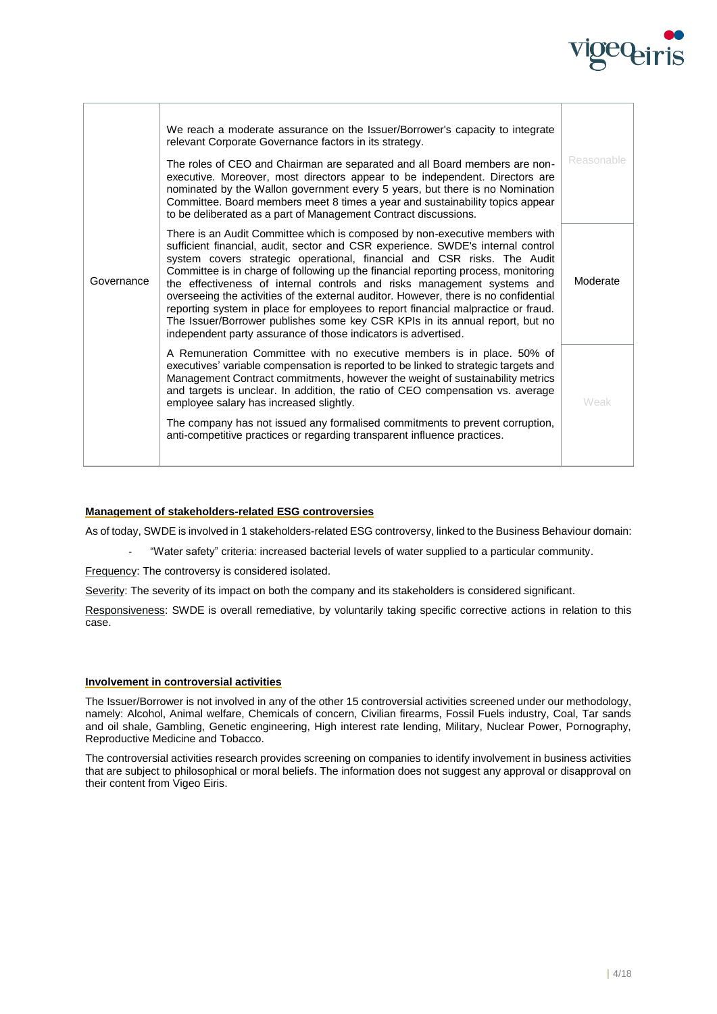

|            | We reach a moderate assurance on the Issuer/Borrower's capacity to integrate<br>relevant Corporate Governance factors in its strategy.<br>The roles of CEO and Chairman are separated and all Board members are non-<br>executive. Moreover, most directors appear to be independent. Directors are<br>nominated by the Wallon government every 5 years, but there is no Nomination<br>Committee. Board members meet 8 times a year and sustainability topics appear<br>to be deliberated as a part of Management Contract discussions.                                                                                                                                                                                                   | Reasonable |
|------------|-------------------------------------------------------------------------------------------------------------------------------------------------------------------------------------------------------------------------------------------------------------------------------------------------------------------------------------------------------------------------------------------------------------------------------------------------------------------------------------------------------------------------------------------------------------------------------------------------------------------------------------------------------------------------------------------------------------------------------------------|------------|
| Governance | There is an Audit Committee which is composed by non-executive members with<br>sufficient financial, audit, sector and CSR experience. SWDE's internal control<br>system covers strategic operational, financial and CSR risks. The Audit<br>Committee is in charge of following up the financial reporting process, monitoring<br>the effectiveness of internal controls and risks management systems and<br>overseeing the activities of the external auditor. However, there is no confidential<br>reporting system in place for employees to report financial malpractice or fraud.<br>The Issuer/Borrower publishes some key CSR KPIs in its annual report, but no<br>independent party assurance of those indicators is advertised. | Moderate   |
|            | A Remuneration Committee with no executive members is in place. 50% of<br>executives' variable compensation is reported to be linked to strategic targets and<br>Management Contract commitments, however the weight of sustainability metrics<br>and targets is unclear. In addition, the ratio of CEO compensation vs. average<br>employee salary has increased slightly.<br>The company has not issued any formalised commitments to prevent corruption,<br>anti-competitive practices or regarding transparent influence practices.                                                                                                                                                                                                   | Weak       |
|            |                                                                                                                                                                                                                                                                                                                                                                                                                                                                                                                                                                                                                                                                                                                                           |            |

### **Management of stakeholders-related ESG controversies**

As of today, SWDE is involved in 1 stakeholders-related ESG controversy, linked to the Business Behaviour domain:

- "Water safety" criteria: increased bacterial levels of water supplied to a particular community.

Frequency: The controversy is considered isolated.

Severity: The severity of its impact on both the company and its stakeholders is considered significant.

Responsiveness: SWDE is overall remediative, by voluntarily taking specific corrective actions in relation to this case.

#### **Involvement in controversial activities**

The Issuer/Borrower is not involved in any of the other 15 controversial activities screened under our methodology, namely: Alcohol, Animal welfare, Chemicals of concern, Civilian firearms, Fossil Fuels industry, Coal, Tar sands and oil shale, Gambling, Genetic engineering, High interest rate lending, Military, Nuclear Power, Pornography, Reproductive Medicine and Tobacco.

The controversial activities research provides screening on companies to identify involvement in business activities that are subject to philosophical or moral beliefs. The information does not suggest any approval or disapproval on their content from Vigeo Eiris.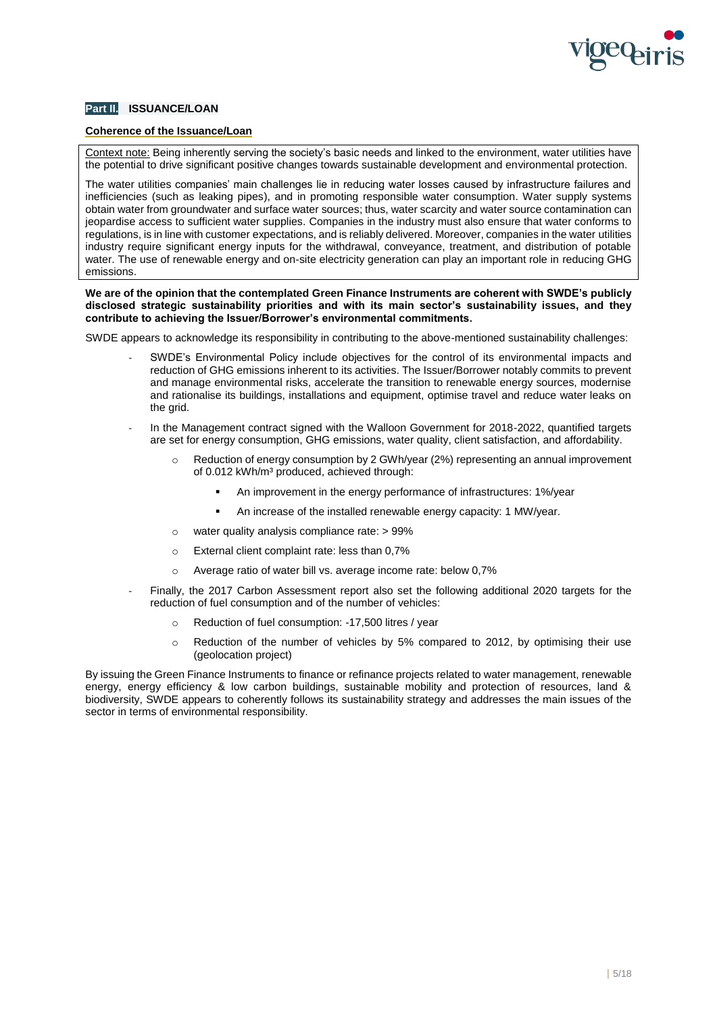

## **Part II. ISSUANCE/LOAN**

#### **Coherence of the Issuance/Loan**

Context note: Being inherently serving the society's basic needs and linked to the environment, water utilities have the potential to drive significant positive changes towards sustainable development and environmental protection.

The water utilities companies' main challenges lie in reducing water losses caused by infrastructure failures and inefficiencies (such as leaking pipes), and in promoting responsible water consumption. Water supply systems obtain water from groundwater and surface water sources; thus, water scarcity and water source contamination can jeopardise access to sufficient water supplies. Companies in the industry must also ensure that water conforms to regulations, is in line with customer expectations, and is reliably delivered. Moreover, companies in the water utilities industry require significant energy inputs for the withdrawal, conveyance, treatment, and distribution of potable water. The use of renewable energy and on-site electricity generation can play an important role in reducing GHG emissions.

**We are of the opinion that the contemplated Green Finance Instruments are coherent with SWDE's publicly disclosed strategic sustainability priorities and with its main sector's sustainability issues, and they contribute to achieving the Issuer/Borrower's environmental commitments.**

SWDE appears to acknowledge its responsibility in contributing to the above-mentioned sustainability challenges:

- SWDE's Environmental Policy include objectives for the control of its environmental impacts and reduction of GHG emissions inherent to its activities. The Issuer/Borrower notably commits to prevent and manage environmental risks, accelerate the transition to renewable energy sources, modernise and rationalise its buildings, installations and equipment, optimise travel and reduce water leaks on the grid.
- In the Management contract signed with the Walloon Government for 2018-2022, quantified targets are set for energy consumption, GHG emissions, water quality, client satisfaction, and affordability.
	- $\circ$  Reduction of energy consumption by 2 GWh/year (2%) representing an annual improvement of 0.012 kWh/m<sup>3</sup> produced, achieved through:
		- An improvement in the energy performance of infrastructures: 1%/year
		- An increase of the installed renewable energy capacity: 1 MW/year.
	- o water quality analysis compliance rate: > 99%
	- o External client complaint rate: less than 0,7%
	- o Average ratio of water bill vs. average income rate: below 0,7%
- Finally, the 2017 Carbon Assessment report also set the following additional 2020 targets for the reduction of fuel consumption and of the number of vehicles:
	- o Reduction of fuel consumption: -17,500 litres / year
	- $\circ$  Reduction of the number of vehicles by 5% compared to 2012, by optimising their use (geolocation project)

By issuing the Green Finance Instruments to finance or refinance projects related to water management, renewable energy, energy efficiency & low carbon buildings, sustainable mobility and protection of resources, land & biodiversity, SWDE appears to coherently follows its sustainability strategy and addresses the main issues of the sector in terms of environmental responsibility.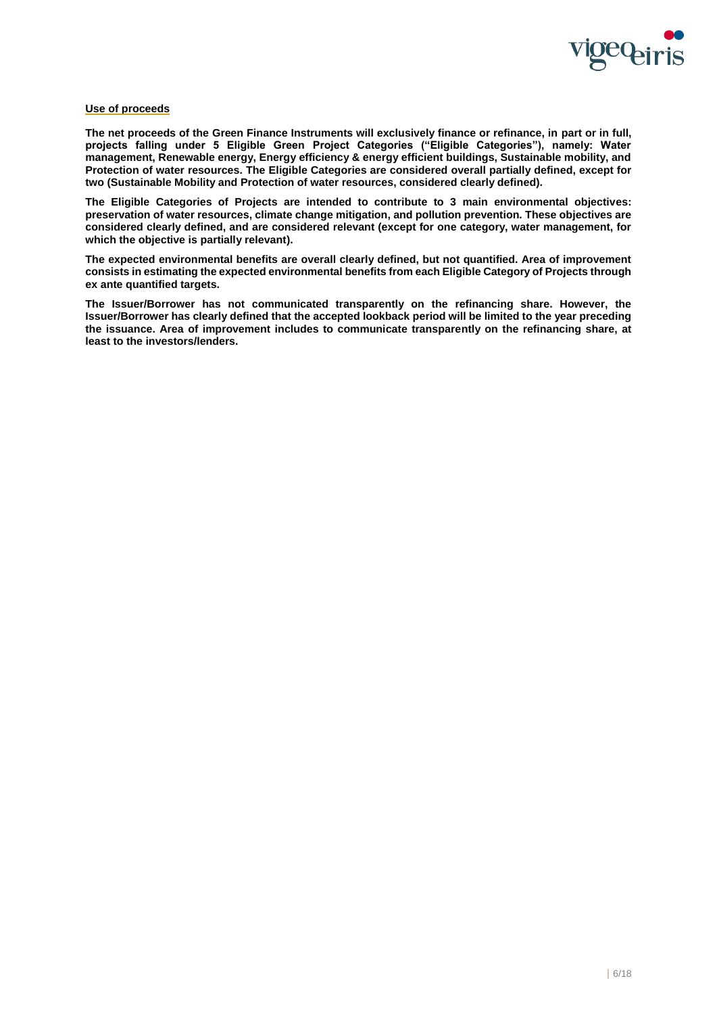

#### **Use of proceeds**

**The net proceeds of the Green Finance Instruments will exclusively finance or refinance, in part or in full, projects falling under 5 Eligible Green Project Categories ("Eligible Categories"), namely: Water management, Renewable energy, Energy efficiency & energy efficient buildings, Sustainable mobility, and Protection of water resources. The Eligible Categories are considered overall partially defined, except for two (Sustainable Mobility and Protection of water resources, considered clearly defined).**

**The Eligible Categories of Projects are intended to contribute to 3 main environmental objectives: preservation of water resources, climate change mitigation, and pollution prevention. These objectives are considered clearly defined, and are considered relevant (except for one category, water management, for which the objective is partially relevant).**

**The expected environmental benefits are overall clearly defined, but not quantified. Area of improvement consists in estimating the expected environmental benefits from each Eligible Category of Projects through ex ante quantified targets.**

**The Issuer/Borrower has not communicated transparently on the refinancing share. However, the Issuer/Borrower has clearly defined that the accepted lookback period will be limited to the year preceding the issuance. Area of improvement includes to communicate transparently on the refinancing share, at least to the investors/lenders.**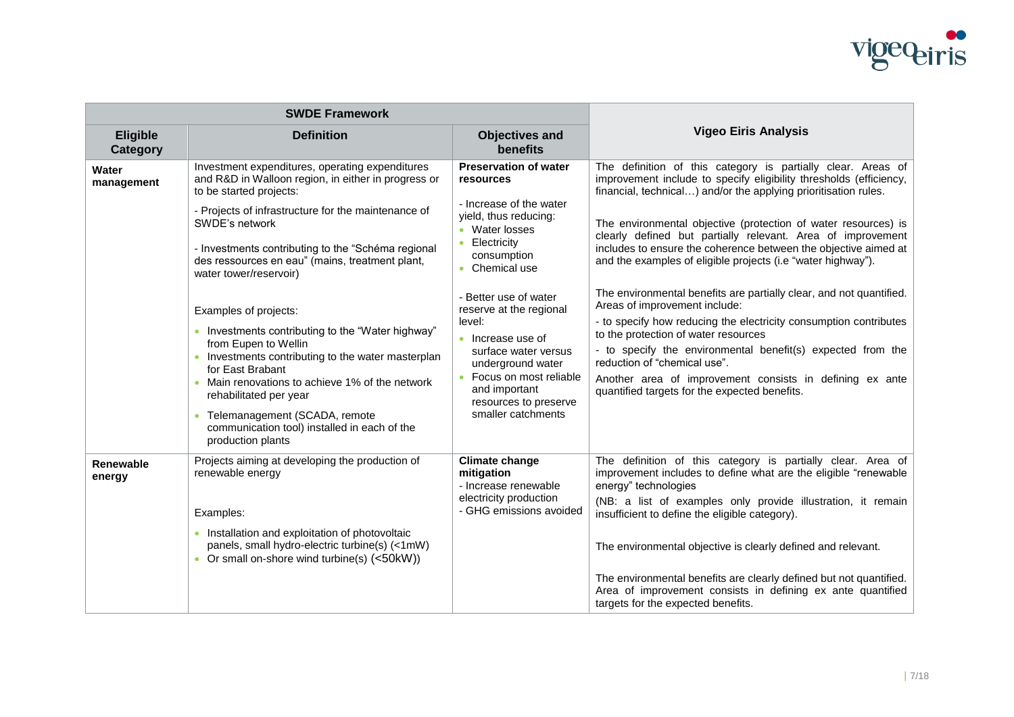

|                                    | <b>SWDE Framework</b>                                                                                                                                                                                                                                                                                                                        |                                                                                                                                                                                                                        |                                                                                                                                                                                                                                                                                                                                                                                                                               |
|------------------------------------|----------------------------------------------------------------------------------------------------------------------------------------------------------------------------------------------------------------------------------------------------------------------------------------------------------------------------------------------|------------------------------------------------------------------------------------------------------------------------------------------------------------------------------------------------------------------------|-------------------------------------------------------------------------------------------------------------------------------------------------------------------------------------------------------------------------------------------------------------------------------------------------------------------------------------------------------------------------------------------------------------------------------|
| <b>Eligible</b><br><b>Category</b> | <b>Definition</b>                                                                                                                                                                                                                                                                                                                            | <b>Objectives and</b><br><b>benefits</b>                                                                                                                                                                               | <b>Vigeo Eiris Analysis</b>                                                                                                                                                                                                                                                                                                                                                                                                   |
| Water<br>management                | Investment expenditures, operating expenditures<br>and R&D in Walloon region, in either in progress or<br>to be started projects:                                                                                                                                                                                                            | <b>Preservation of water</b><br>resources                                                                                                                                                                              | The definition of this category is partially clear. Areas of<br>improvement include to specify eligibility thresholds (efficiency,<br>financial, technical) and/or the applying prioritisation rules.                                                                                                                                                                                                                         |
|                                    | - Projects of infrastructure for the maintenance of<br>SWDE's network                                                                                                                                                                                                                                                                        | - Increase of the water<br>yield, thus reducing:<br>• Water losses                                                                                                                                                     | The environmental objective (protection of water resources) is<br>clearly defined but partially relevant. Area of improvement                                                                                                                                                                                                                                                                                                 |
|                                    | - Investments contributing to the "Schéma regional<br>des ressources en eau" (mains, treatment plant,<br>water tower/reservoir)                                                                                                                                                                                                              | Electricity<br>$\bullet$<br>consumption<br>• Chemical use                                                                                                                                                              | includes to ensure the coherence between the objective aimed at<br>and the examples of eligible projects (i.e "water highway").                                                                                                                                                                                                                                                                                               |
|                                    | Examples of projects:<br>• Investments contributing to the "Water highway"<br>from Eupen to Wellin<br>• Investments contributing to the water masterplan<br>for East Brabant<br>• Main renovations to achieve 1% of the network<br>rehabilitated per year<br>• Telemanagement (SCADA, remote<br>communication tool) installed in each of the | - Better use of water<br>reserve at the regional<br>level:<br>• Increase use of<br>surface water versus<br>underground water<br>Focus on most reliable<br>and important<br>resources to preserve<br>smaller catchments | The environmental benefits are partially clear, and not quantified.<br>Areas of improvement include:<br>- to specify how reducing the electricity consumption contributes<br>to the protection of water resources<br>- to specify the environmental benefit(s) expected from the<br>reduction of "chemical use".<br>Another area of improvement consists in defining ex ante<br>quantified targets for the expected benefits. |
| Renewable<br>energy                | production plants<br>Projects aiming at developing the production of<br>renewable energy<br>Examples:                                                                                                                                                                                                                                        | <b>Climate change</b><br>mitigation<br>- Increase renewable<br>electricity production<br>- GHG emissions avoided                                                                                                       | The definition of this category is partially clear. Area of<br>improvement includes to define what are the eligible "renewable<br>energy" technologies<br>(NB: a list of examples only provide illustration, it remain<br>insufficient to define the eligible category).                                                                                                                                                      |
|                                    | • Installation and exploitation of photovoltaic<br>panels, small hydro-electric turbine(s) (<1mW)<br>• Or small on-shore wind turbine(s) (<50kW))                                                                                                                                                                                            |                                                                                                                                                                                                                        | The environmental objective is clearly defined and relevant.<br>The environmental benefits are clearly defined but not quantified.<br>Area of improvement consists in defining ex ante quantified<br>targets for the expected benefits.                                                                                                                                                                                       |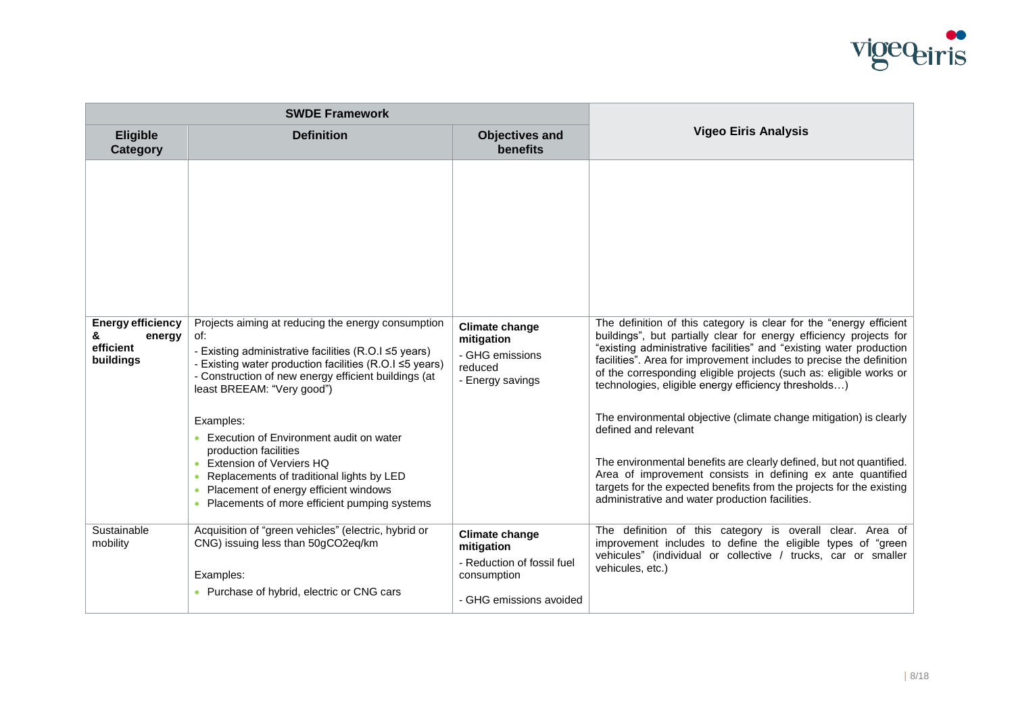

| <b>SWDE Framework</b>                                             |                                                                                                                                                                                                                                                                                                                                                                                                                                                                                |                                                                                       |                                                                                                                                                                                                                                                                                                                                                                                                                                                                                                                                                                                                                                                                                                                                                                                      |
|-------------------------------------------------------------------|--------------------------------------------------------------------------------------------------------------------------------------------------------------------------------------------------------------------------------------------------------------------------------------------------------------------------------------------------------------------------------------------------------------------------------------------------------------------------------|---------------------------------------------------------------------------------------|--------------------------------------------------------------------------------------------------------------------------------------------------------------------------------------------------------------------------------------------------------------------------------------------------------------------------------------------------------------------------------------------------------------------------------------------------------------------------------------------------------------------------------------------------------------------------------------------------------------------------------------------------------------------------------------------------------------------------------------------------------------------------------------|
| <b>Eligible</b><br>Category                                       | <b>Definition</b>                                                                                                                                                                                                                                                                                                                                                                                                                                                              | <b>Objectives and</b><br><b>benefits</b>                                              | <b>Vigeo Eiris Analysis</b>                                                                                                                                                                                                                                                                                                                                                                                                                                                                                                                                                                                                                                                                                                                                                          |
| <b>Energy efficiency</b><br>&<br>energy<br>efficient<br>buildings | Projects aiming at reducing the energy consumption<br>of:<br>- Existing administrative facilities (R.O.I ≤5 years)<br>- Existing water production facilities (R.O.I ≤5 years)<br>- Construction of new energy efficient buildings (at<br>least BREEAM: "Very good")<br>Examples:<br>• Execution of Environment audit on water<br>production facilities<br>• Extension of Verviers HQ<br>• Replacements of traditional lights by LED<br>• Placement of energy efficient windows | <b>Climate change</b><br>mitigation<br>- GHG emissions<br>reduced<br>- Energy savings | The definition of this category is clear for the "energy efficient<br>buildings", but partially clear for energy efficiency projects for<br>"existing administrative facilities" and "existing water production<br>facilities". Area for improvement includes to precise the definition<br>of the corresponding eligible projects (such as: eligible works or<br>technologies, eligible energy efficiency thresholds)<br>The environmental objective (climate change mitigation) is clearly<br>defined and relevant<br>The environmental benefits are clearly defined, but not quantified.<br>Area of improvement consists in defining ex ante quantified<br>targets for the expected benefits from the projects for the existing<br>administrative and water production facilities. |
| Sustainable                                                       | • Placements of more efficient pumping systems<br>Acquisition of "green vehicles" (electric, hybrid or                                                                                                                                                                                                                                                                                                                                                                         |                                                                                       | The definition of this category is overall clear. Area of                                                                                                                                                                                                                                                                                                                                                                                                                                                                                                                                                                                                                                                                                                                            |
| mobility                                                          | CNG) issuing less than 50gCO2eq/km<br>Examples:                                                                                                                                                                                                                                                                                                                                                                                                                                | <b>Climate change</b><br>mitigation<br>- Reduction of fossil fuel<br>consumption      | improvement includes to define the eligible types of "green<br>vehicules" (individual or collective / trucks, car or smaller<br>vehicules, etc.)                                                                                                                                                                                                                                                                                                                                                                                                                                                                                                                                                                                                                                     |
|                                                                   | • Purchase of hybrid, electric or CNG cars                                                                                                                                                                                                                                                                                                                                                                                                                                     | - GHG emissions avoided                                                               |                                                                                                                                                                                                                                                                                                                                                                                                                                                                                                                                                                                                                                                                                                                                                                                      |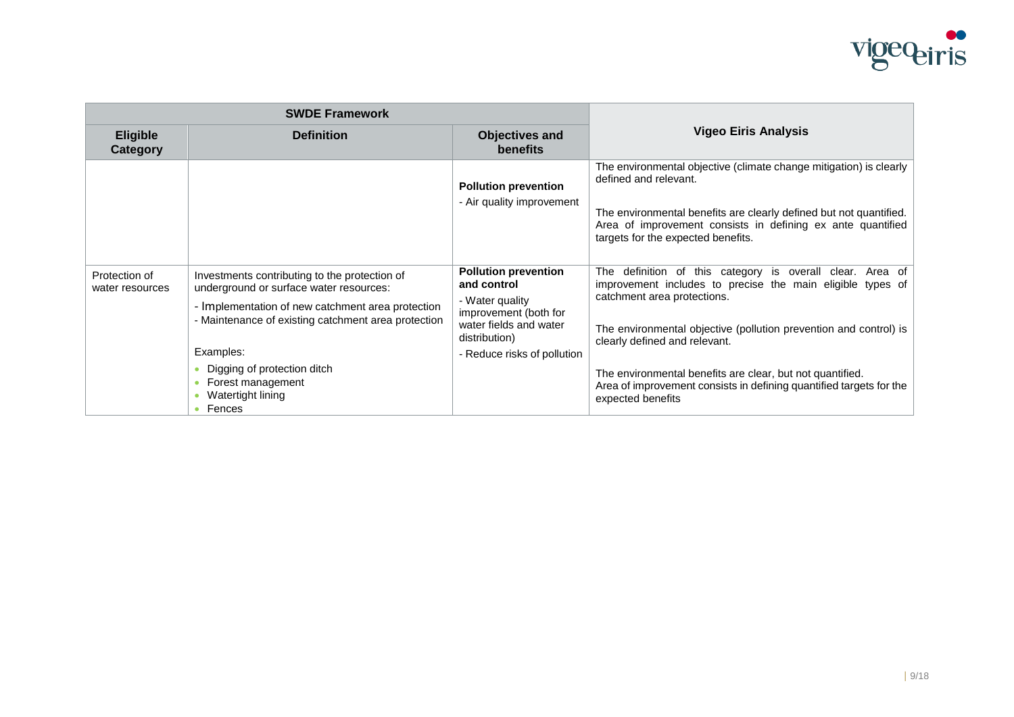

| <b>SWDE Framework</b>              |                                                                                                                                                                                                                                                                                                        |                                                                                                                                                                  |                                                                                                                                                                                                                                                                                                                                                                                                                          |
|------------------------------------|--------------------------------------------------------------------------------------------------------------------------------------------------------------------------------------------------------------------------------------------------------------------------------------------------------|------------------------------------------------------------------------------------------------------------------------------------------------------------------|--------------------------------------------------------------------------------------------------------------------------------------------------------------------------------------------------------------------------------------------------------------------------------------------------------------------------------------------------------------------------------------------------------------------------|
| <b>Eligible</b><br><b>Category</b> | <b>Definition</b>                                                                                                                                                                                                                                                                                      | <b>Objectives and</b><br><b>benefits</b>                                                                                                                         | <b>Vigeo Eiris Analysis</b>                                                                                                                                                                                                                                                                                                                                                                                              |
|                                    |                                                                                                                                                                                                                                                                                                        | <b>Pollution prevention</b><br>- Air quality improvement                                                                                                         | The environmental objective (climate change mitigation) is clearly<br>defined and relevant.<br>The environmental benefits are clearly defined but not quantified.<br>Area of improvement consists in defining ex ante quantified<br>targets for the expected benefits.                                                                                                                                                   |
| Protection of<br>water resources   | Investments contributing to the protection of<br>underground or surface water resources:<br>- Implementation of new catchment area protection<br>- Maintenance of existing catchment area protection<br>Examples:<br>Digging of protection ditch<br>Forest management<br>Watertight lining<br>• Fences | <b>Pollution prevention</b><br>and control<br>- Water quality<br>improvement (both for<br>water fields and water<br>distribution)<br>- Reduce risks of pollution | definition of this category is overall clear. Area of<br>The<br>improvement includes to precise the main eligible types of<br>catchment area protections.<br>The environmental objective (pollution prevention and control) is<br>clearly defined and relevant.<br>The environmental benefits are clear, but not quantified.<br>Area of improvement consists in defining quantified targets for the<br>expected benefits |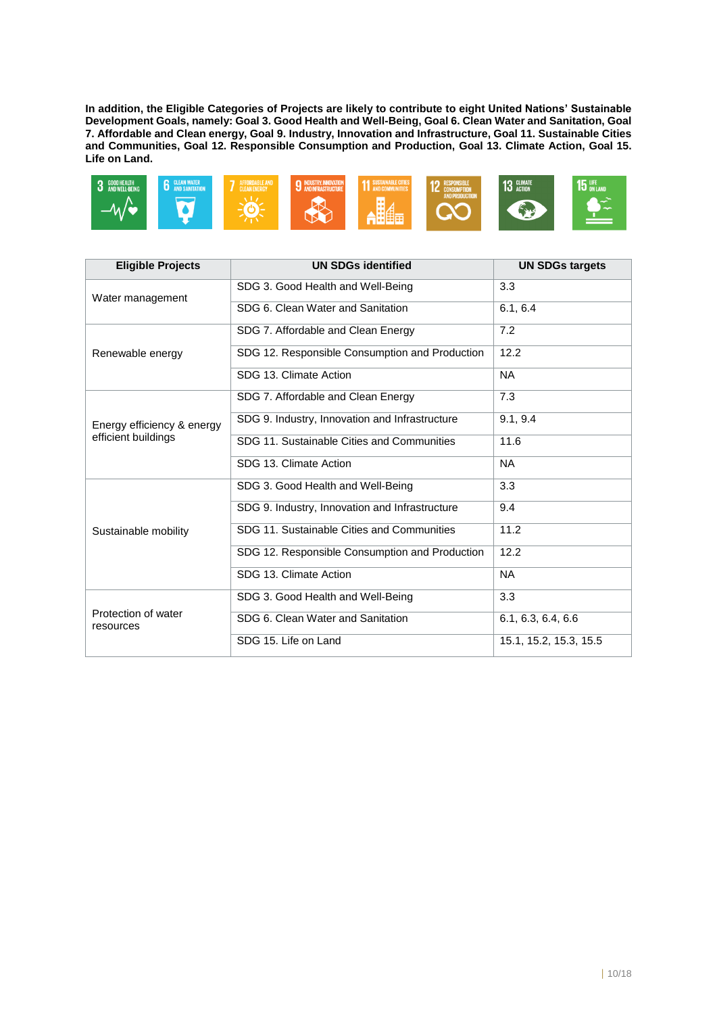**In addition, the Eligible Categories of Projects are likely to contribute to eight United Nations' Sustainable Development Goals, namely: Goal 3. Good Health and Well-Being, Goal 6. Clean Water and Sanitation, Goal 7. Affordable and Clean energy, Goal 9. Industry, Innovation and Infrastructure, Goal 11. Sustainable Cities and Communities, Goal 12. Responsible Consumption and Production, Goal 13. Climate Action, Goal 15. Life on Land.**



| <b>Eligible Projects</b>         | <b>UN SDGs identified</b>                      | <b>UN SDGs targets</b> |
|----------------------------------|------------------------------------------------|------------------------|
| Water management                 | SDG 3. Good Health and Well-Being              | 3.3                    |
|                                  | SDG 6. Clean Water and Sanitation              | 6.1, 6.4               |
|                                  | SDG 7. Affordable and Clean Energy             | 7.2                    |
| Renewable energy                 | SDG 12. Responsible Consumption and Production | 12.2                   |
|                                  | SDG 13. Climate Action                         | <b>NA</b>              |
|                                  | SDG 7. Affordable and Clean Energy             | 7.3                    |
| Energy efficiency & energy       | SDG 9. Industry, Innovation and Infrastructure | 9.1, 9.4               |
| efficient buildings              | SDG 11. Sustainable Cities and Communities     | 11.6                   |
|                                  | SDG 13. Climate Action                         | <b>NA</b>              |
|                                  | SDG 3. Good Health and Well-Being              | 3.3                    |
| Sustainable mobility             | SDG 9. Industry, Innovation and Infrastructure | 9.4                    |
|                                  | SDG 11. Sustainable Cities and Communities     | 11.2                   |
|                                  | SDG 12. Responsible Consumption and Production | 12.2                   |
|                                  | SDG 13. Climate Action                         | <b>NA</b>              |
|                                  | SDG 3. Good Health and Well-Being              | 3.3                    |
| Protection of water<br>resources | SDG 6. Clean Water and Sanitation              | 6.1, 6.3, 6.4, 6.6     |
|                                  | SDG 15. Life on Land                           | 15.1, 15.2, 15.3, 15.5 |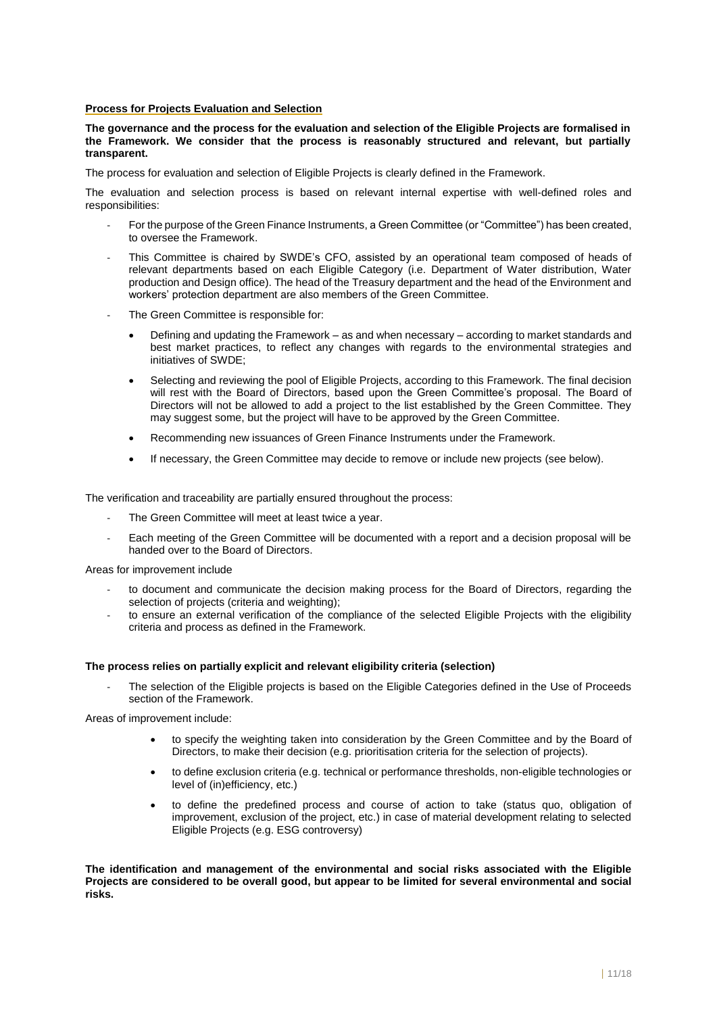#### **Process for Projects Evaluation and Selection**

**The governance and the process for the evaluation and selection of the Eligible Projects are formalised in the Framework. We consider that the process is reasonably structured and relevant, but partially transparent.**

The process for evaluation and selection of Eligible Projects is clearly defined in the Framework.

The evaluation and selection process is based on relevant internal expertise with well-defined roles and responsibilities:

- For the purpose of the Green Finance Instruments, a Green Committee (or "Committee") has been created, to oversee the Framework.
- This Committee is chaired by SWDE's CFO, assisted by an operational team composed of heads of relevant departments based on each Eligible Category (i.e. Department of Water distribution, Water production and Design office). The head of the Treasury department and the head of the Environment and workers' protection department are also members of the Green Committee.
- The Green Committee is responsible for:
	- Defining and updating the Framework as and when necessary according to market standards and best market practices, to reflect any changes with regards to the environmental strategies and initiatives of SWDE;
	- Selecting and reviewing the pool of Eligible Projects, according to this Framework. The final decision will rest with the Board of Directors, based upon the Green Committee's proposal. The Board of Directors will not be allowed to add a project to the list established by the Green Committee. They may suggest some, but the project will have to be approved by the Green Committee.
	- Recommending new issuances of Green Finance Instruments under the Framework.
	- If necessary, the Green Committee may decide to remove or include new projects (see below).

The verification and traceability are partially ensured throughout the process:

- The Green Committee will meet at least twice a year.
- Each meeting of the Green Committee will be documented with a report and a decision proposal will be handed over to the Board of Directors.

Areas for improvement include

- to document and communicate the decision making process for the Board of Directors, regarding the selection of projects (criteria and weighting);
- to ensure an external verification of the compliance of the selected Eligible Projects with the eligibility criteria and process as defined in the Framework.

#### **The process relies on partially explicit and relevant eligibility criteria (selection)**

The selection of the Eligible projects is based on the Eligible Categories defined in the Use of Proceeds section of the Framework.

Areas of improvement include:

- to specify the weighting taken into consideration by the Green Committee and by the Board of Directors, to make their decision (e.g. prioritisation criteria for the selection of projects).
- to define exclusion criteria (e.g. technical or performance thresholds, non-eligible technologies or level of (in)efficiency, etc.)
- to define the predefined process and course of action to take (status quo, obligation of improvement, exclusion of the project, etc.) in case of material development relating to selected Eligible Projects (e.g. ESG controversy)

**The identification and management of the environmental and social risks associated with the Eligible Projects are considered to be overall good, but appear to be limited for several environmental and social risks.**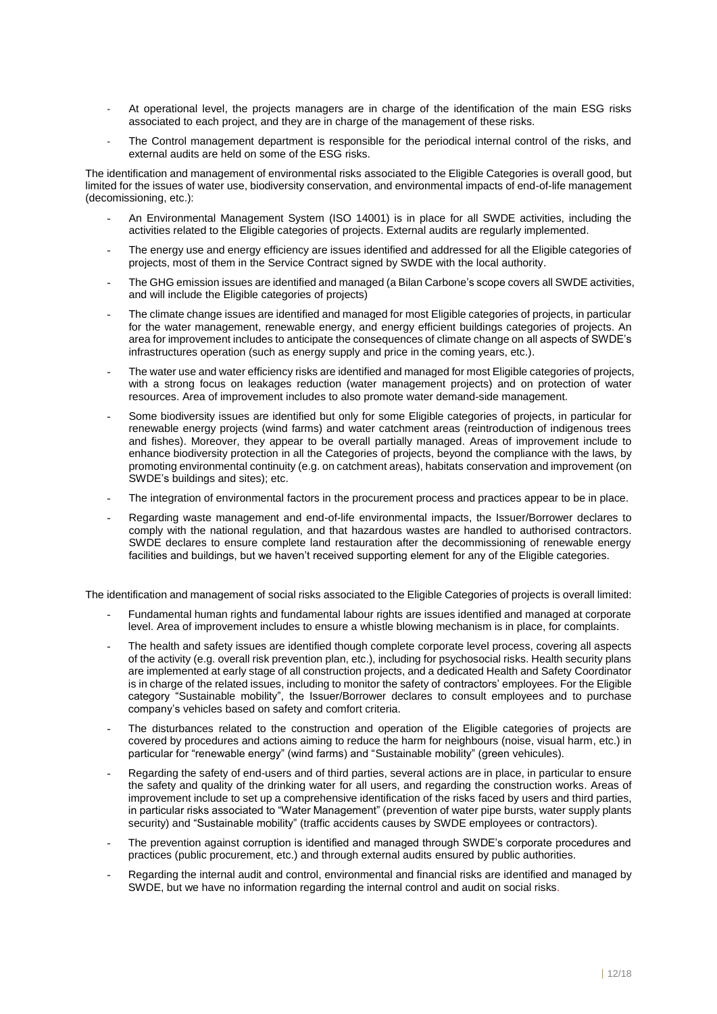- At operational level, the projects managers are in charge of the identification of the main ESG risks associated to each project, and they are in charge of the management of these risks.
- The Control management department is responsible for the periodical internal control of the risks, and external audits are held on some of the ESG risks.

The identification and management of environmental risks associated to the Eligible Categories is overall good, but limited for the issues of water use, biodiversity conservation, and environmental impacts of end-of-life management (decomissioning, etc.):

- An Environmental Management System (ISO 14001) is in place for all SWDE activities, including the activities related to the Eligible categories of projects. External audits are regularly implemented.
- The energy use and energy efficiency are issues identified and addressed for all the Eligible categories of projects, most of them in the Service Contract signed by SWDE with the local authority.
- The GHG emission issues are identified and managed (a Bilan Carbone's scope covers all SWDE activities, and will include the Eligible categories of projects)
- The climate change issues are identified and managed for most Eligible categories of projects, in particular for the water management, renewable energy, and energy efficient buildings categories of projects. An area for improvement includes to anticipate the consequences of climate change on all aspects of SWDE's infrastructures operation (such as energy supply and price in the coming years, etc.).
- The water use and water efficiency risks are identified and managed for most Eligible categories of projects, with a strong focus on leakages reduction (water management projects) and on protection of water resources. Area of improvement includes to also promote water demand-side management.
- Some biodiversity issues are identified but only for some Eligible categories of projects, in particular for renewable energy projects (wind farms) and water catchment areas (reintroduction of indigenous trees and fishes). Moreover, they appear to be overall partially managed. Areas of improvement include to enhance biodiversity protection in all the Categories of projects, beyond the compliance with the laws, by promoting environmental continuity (e.g. on catchment areas), habitats conservation and improvement (on SWDE's buildings and sites); etc.
- The integration of environmental factors in the procurement process and practices appear to be in place.
- Regarding waste management and end-of-life environmental impacts, the Issuer/Borrower declares to comply with the national regulation, and that hazardous wastes are handled to authorised contractors. SWDE declares to ensure complete land restauration after the decommissioning of renewable energy facilities and buildings, but we haven't received supporting element for any of the Eligible categories.

The identification and management of social risks associated to the Eligible Categories of projects is overall limited:

- Fundamental human rights and fundamental labour rights are issues identified and managed at corporate level. Area of improvement includes to ensure a whistle blowing mechanism is in place, for complaints.
- The health and safety issues are identified though complete corporate level process, covering all aspects of the activity (e.g. overall risk prevention plan, etc.), including for psychosocial risks. Health security plans are implemented at early stage of all construction projects, and a dedicated Health and Safety Coordinator is in charge of the related issues, including to monitor the safety of contractors' employees. For the Eligible category "Sustainable mobility", the Issuer/Borrower declares to consult employees and to purchase company's vehicles based on safety and comfort criteria.
- The disturbances related to the construction and operation of the Eligible categories of projects are covered by procedures and actions aiming to reduce the harm for neighbours (noise, visual harm, etc.) in particular for "renewable energy" (wind farms) and "Sustainable mobility" (green vehicules).
- Regarding the safety of end-users and of third parties, several actions are in place, in particular to ensure the safety and quality of the drinking water for all users, and regarding the construction works. Areas of improvement include to set up a comprehensive identification of the risks faced by users and third parties, in particular risks associated to "Water Management" (prevention of water pipe bursts, water supply plants security) and "Sustainable mobility" (traffic accidents causes by SWDE employees or contractors).
- The prevention against corruption is identified and managed through SWDE's corporate procedures and practices (public procurement, etc.) and through external audits ensured by public authorities.
- Regarding the internal audit and control, environmental and financial risks are identified and managed by SWDE, but we have no information regarding the internal control and audit on social risks.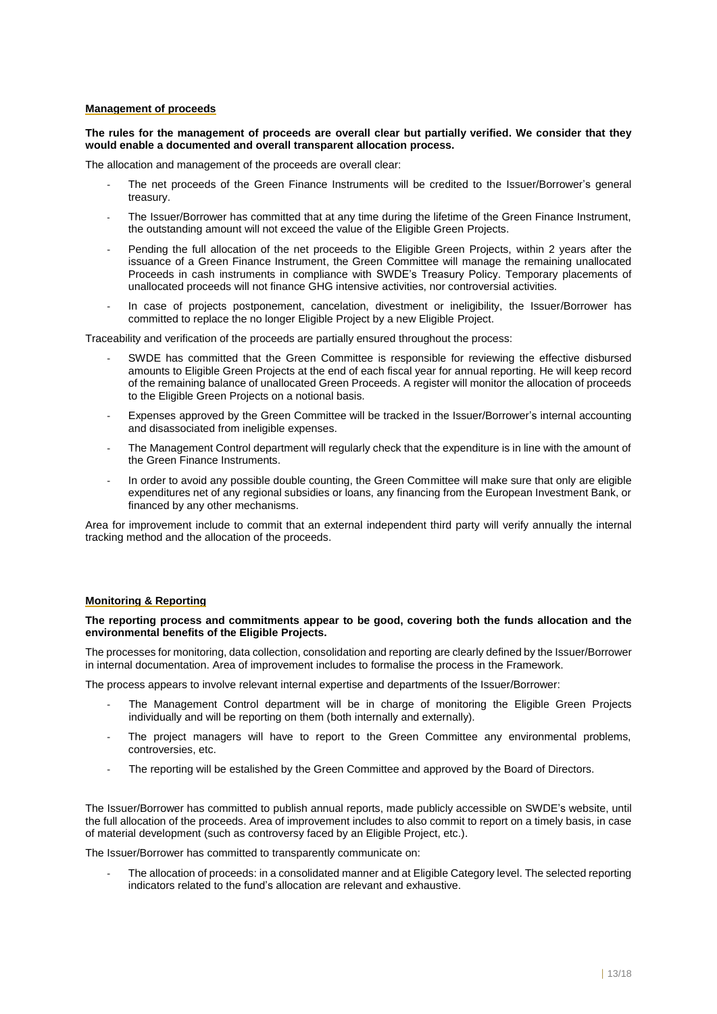#### **Management of proceeds**

#### **The rules for the management of proceeds are overall clear but partially verified. We consider that they would enable a documented and overall transparent allocation process.**

The allocation and management of the proceeds are overall clear:

- The net proceeds of the Green Finance Instruments will be credited to the Issuer/Borrower's general treasury.
- The Issuer/Borrower has committed that at any time during the lifetime of the Green Finance Instrument, the outstanding amount will not exceed the value of the Eligible Green Projects.
- Pending the full allocation of the net proceeds to the Eligible Green Projects, within 2 years after the issuance of a Green Finance Instrument, the Green Committee will manage the remaining unallocated Proceeds in cash instruments in compliance with SWDE's Treasury Policy. Temporary placements of unallocated proceeds will not finance GHG intensive activities, nor controversial activities.
- In case of projects postponement, cancelation, divestment or ineligibility, the Issuer/Borrower has committed to replace the no longer Eligible Project by a new Eligible Project.

Traceability and verification of the proceeds are partially ensured throughout the process:

- SWDE has committed that the Green Committee is responsible for reviewing the effective disbursed amounts to Eligible Green Projects at the end of each fiscal year for annual reporting. He will keep record of the remaining balance of unallocated Green Proceeds. A register will monitor the allocation of proceeds to the Eligible Green Projects on a notional basis.
- Expenses approved by the Green Committee will be tracked in the Issuer/Borrower's internal accounting and disassociated from ineligible expenses.
- The Management Control department will regularly check that the expenditure is in line with the amount of the Green Finance Instruments.
- In order to avoid any possible double counting, the Green Committee will make sure that only are eligible expenditures net of any regional subsidies or loans, any financing from the European Investment Bank, or financed by any other mechanisms.

Area for improvement include to commit that an external independent third party will verify annually the internal tracking method and the allocation of the proceeds.

#### **Monitoring & Reporting**

#### **The reporting process and commitments appear to be good, covering both the funds allocation and the environmental benefits of the Eligible Projects.**

The processes for monitoring, data collection, consolidation and reporting are clearly defined by the Issuer/Borrower in internal documentation. Area of improvement includes to formalise the process in the Framework.

The process appears to involve relevant internal expertise and departments of the Issuer/Borrower:

- The Management Control department will be in charge of monitoring the Eligible Green Projects individually and will be reporting on them (both internally and externally).
- The project managers will have to report to the Green Committee any environmental problems, controversies, etc.
- The reporting will be estalished by the Green Committee and approved by the Board of Directors.

The Issuer/Borrower has committed to publish annual reports, made publicly accessible on SWDE's website, until the full allocation of the proceeds. Area of improvement includes to also commit to report on a timely basis, in case of material development (such as controversy faced by an Eligible Project, etc.).

The Issuer/Borrower has committed to transparently communicate on:

The allocation of proceeds: in a consolidated manner and at Eligible Category level. The selected reporting indicators related to the fund's allocation are relevant and exhaustive.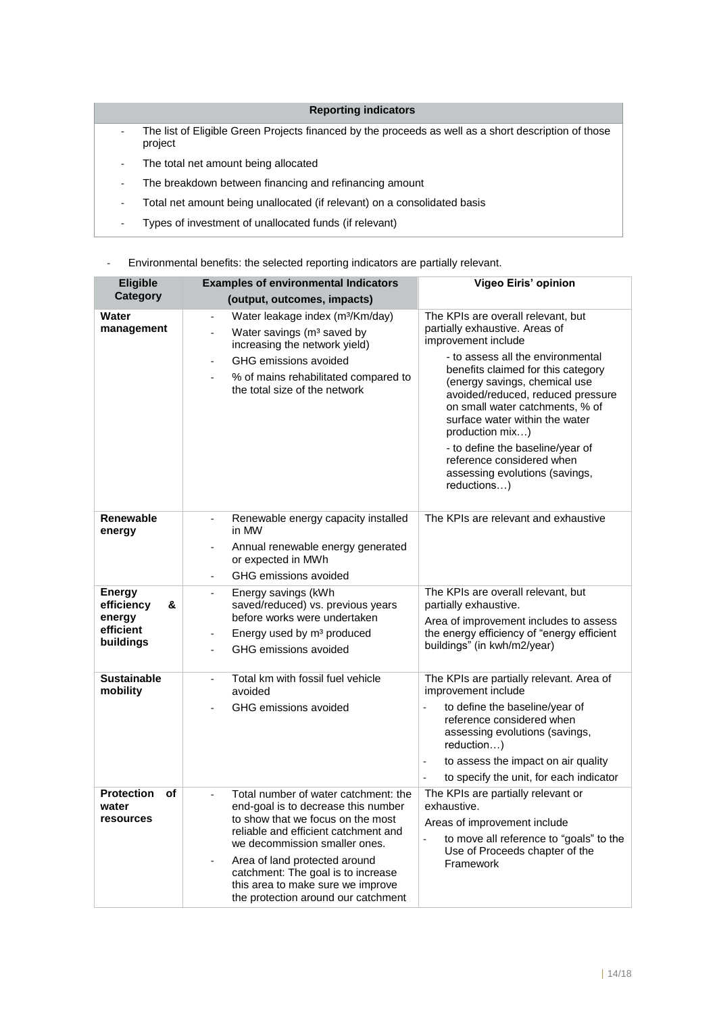## **Reporting indicators**

- The list of Eligible Green Projects financed by the proceeds as well as a short description of those project
- The total net amount being allocated
- The breakdown between financing and refinancing amount
- Total net amount being unallocated (if relevant) on a consolidated basis
- Types of investment of unallocated funds (if relevant)

## - Environmental benefits: the selected reporting indicators are partially relevant.

| Eligible                                                             | <b>Examples of environmental Indicators</b>                                                                                                                                                                                                                                                                                                  | Vigeo Eiris' opinion                                                                                                                                                                                                                                                                                                                                                                                                                                   |
|----------------------------------------------------------------------|----------------------------------------------------------------------------------------------------------------------------------------------------------------------------------------------------------------------------------------------------------------------------------------------------------------------------------------------|--------------------------------------------------------------------------------------------------------------------------------------------------------------------------------------------------------------------------------------------------------------------------------------------------------------------------------------------------------------------------------------------------------------------------------------------------------|
| <b>Category</b>                                                      | (output, outcomes, impacts)                                                                                                                                                                                                                                                                                                                  |                                                                                                                                                                                                                                                                                                                                                                                                                                                        |
| Water<br>management                                                  | Water leakage index (m <sup>3</sup> /Km/day)<br>$\overline{\phantom{a}}$<br>Water savings (m <sup>3</sup> saved by<br>÷.<br>increasing the network yield)<br>GHG emissions avoided<br>% of mains rehabilitated compared to<br>the total size of the network                                                                                  | The KPIs are overall relevant, but<br>partially exhaustive. Areas of<br>improvement include<br>- to assess all the environmental<br>benefits claimed for this category<br>(energy savings, chemical use<br>avoided/reduced, reduced pressure<br>on small water catchments, % of<br>surface water within the water<br>production mix)<br>- to define the baseline/year of<br>reference considered when<br>assessing evolutions (savings,<br>reductions) |
| <b>Renewable</b><br>energy                                           | Renewable energy capacity installed<br>$\overline{a}$<br>in MW<br>Annual renewable energy generated<br>$\blacksquare$<br>or expected in MWh<br>GHG emissions avoided                                                                                                                                                                         | The KPIs are relevant and exhaustive                                                                                                                                                                                                                                                                                                                                                                                                                   |
| <b>Energy</b><br>efficiency<br>&<br>energy<br>efficient<br>buildings | Energy savings (kWh<br>saved/reduced) vs. previous years<br>before works were undertaken<br>Energy used by m <sup>3</sup> produced<br>GHG emissions avoided                                                                                                                                                                                  | The KPIs are overall relevant, but<br>partially exhaustive.<br>Area of improvement includes to assess<br>the energy efficiency of "energy efficient<br>buildings" (in kwh/m2/year)                                                                                                                                                                                                                                                                     |
| <b>Sustainable</b><br>mobility                                       | Total km with fossil fuel vehicle<br>$\overline{a}$<br>avoided<br>GHG emissions avoided                                                                                                                                                                                                                                                      | The KPIs are partially relevant. Area of<br>improvement include<br>to define the baseline/year of<br>$\overline{a}$<br>reference considered when<br>assessing evolutions (savings,<br>reduction)<br>to assess the impact on air quality<br>÷,<br>to specify the unit, for each indicator                                                                                                                                                               |
| <b>Protection</b><br>of<br>water<br>resources                        | Total number of water catchment: the<br>end-goal is to decrease this number<br>to show that we focus on the most<br>reliable and efficient catchment and<br>we decommission smaller ones.<br>Area of land protected around<br>catchment: The goal is to increase<br>this area to make sure we improve<br>the protection around our catchment | The KPIs are partially relevant or<br>exhaustive.<br>Areas of improvement include<br>to move all reference to "goals" to the<br>÷,<br>Use of Proceeds chapter of the<br>Framework                                                                                                                                                                                                                                                                      |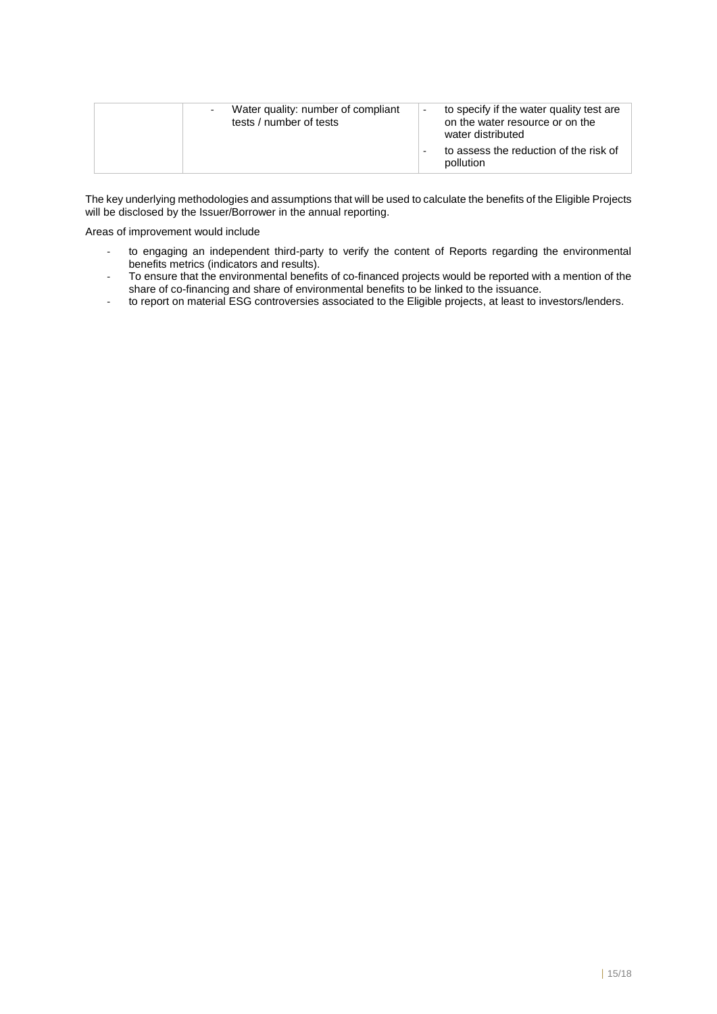| Water quality: number of compliant<br>tests / number of tests | to specify if the water quality test are<br>on the water resource or on the<br>water distributed<br>to assess the reduction of the risk of<br>pollution |
|---------------------------------------------------------------|---------------------------------------------------------------------------------------------------------------------------------------------------------|
|---------------------------------------------------------------|---------------------------------------------------------------------------------------------------------------------------------------------------------|

The key underlying methodologies and assumptions that will be used to calculate the benefits of the Eligible Projects will be disclosed by the Issuer/Borrower in the annual reporting.

Areas of improvement would include

- to engaging an independent third-party to verify the content of Reports regarding the environmental benefits metrics (indicators and results).
- To ensure that the environmental benefits of co-financed projects would be reported with a mention of the share of co-financing and share of environmental benefits to be linked to the issuance.
- to report on material ESG controversies associated to the Eligible projects, at least to investors/lenders.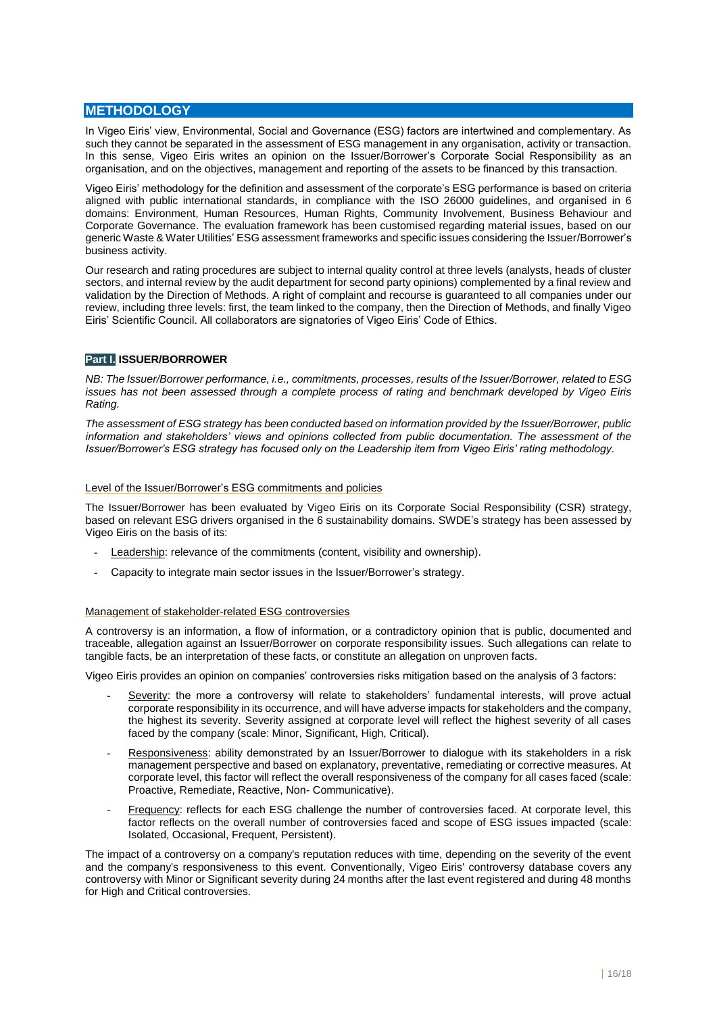## **METHODOLOGY**

In Vigeo Eiris' view, Environmental, Social and Governance (ESG) factors are intertwined and complementary. As such they cannot be separated in the assessment of ESG management in any organisation, activity or transaction. In this sense, Vigeo Eiris writes an opinion on the Issuer/Borrower's Corporate Social Responsibility as an organisation, and on the objectives, management and reporting of the assets to be financed by this transaction.

Vigeo Eiris' methodology for the definition and assessment of the corporate's ESG performance is based on criteria aligned with public international standards, in compliance with the ISO 26000 guidelines, and organised in 6 domains: Environment, Human Resources, Human Rights, Community Involvement, Business Behaviour and Corporate Governance. The evaluation framework has been customised regarding material issues, based on our generic Waste & Water Utilities' ESG assessment frameworks and specific issues considering the Issuer/Borrower's business activity.

Our research and rating procedures are subject to internal quality control at three levels (analysts, heads of cluster sectors, and internal review by the audit department for second party opinions) complemented by a final review and validation by the Direction of Methods. A right of complaint and recourse is guaranteed to all companies under our review, including three levels: first, the team linked to the company, then the Direction of Methods, and finally Vigeo Eiris' Scientific Council. All collaborators are signatories of Vigeo Eiris' Code of Ethics.

## **Part I. ISSUER/BORROWER**

*NB: The Issuer/Borrower performance, i.e., commitments, processes, results of the Issuer/Borrower, related to ESG issues has not been assessed through a complete process of rating and benchmark developed by Vigeo Eiris Rating.* 

*The assessment of ESG strategy has been conducted based on information provided by the Issuer/Borrower, public information and stakeholders' views and opinions collected from public documentation. The assessment of the Issuer/Borrower's ESG strategy has focused only on the Leadership item from Vigeo Eiris' rating methodology.* 

#### Level of the Issuer/Borrower's ESG commitments and policies

The Issuer/Borrower has been evaluated by Vigeo Eiris on its Corporate Social Responsibility (CSR) strategy, based on relevant ESG drivers organised in the 6 sustainability domains. SWDE's strategy has been assessed by Vigeo Eiris on the basis of its:

- Leadership: relevance of the commitments (content, visibility and ownership).
- Capacity to integrate main sector issues in the Issuer/Borrower's strategy.

#### Management of stakeholder-related ESG controversies

A controversy is an information, a flow of information, or a contradictory opinion that is public, documented and traceable, allegation against an Issuer/Borrower on corporate responsibility issues. Such allegations can relate to tangible facts, be an interpretation of these facts, or constitute an allegation on unproven facts.

Vigeo Eiris provides an opinion on companies' controversies risks mitigation based on the analysis of 3 factors:

- Severity: the more a controversy will relate to stakeholders' fundamental interests, will prove actual corporate responsibility in its occurrence, and will have adverse impacts for stakeholders and the company, the highest its severity. Severity assigned at corporate level will reflect the highest severity of all cases faced by the company (scale: Minor, Significant, High, Critical).
- Responsiveness: ability demonstrated by an Issuer/Borrower to dialogue with its stakeholders in a risk management perspective and based on explanatory, preventative, remediating or corrective measures. At corporate level, this factor will reflect the overall responsiveness of the company for all cases faced (scale: Proactive, Remediate, Reactive, Non- Communicative).
- Frequency: reflects for each ESG challenge the number of controversies faced. At corporate level, this factor reflects on the overall number of controversies faced and scope of ESG issues impacted (scale: Isolated, Occasional, Frequent, Persistent).

The impact of a controversy on a company's reputation reduces with time, depending on the severity of the event and the company's responsiveness to this event. Conventionally, Vigeo Eiris' controversy database covers any controversy with Minor or Significant severity during 24 months after the last event registered and during 48 months for High and Critical controversies.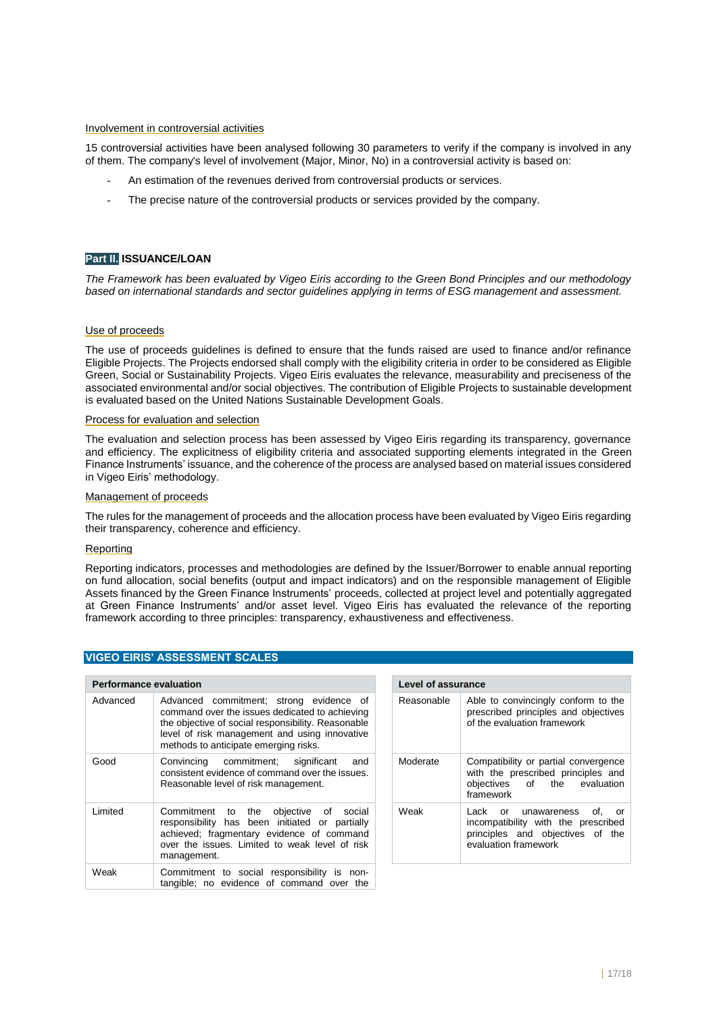#### Involvement in controversial activities

15 controversial activities have been analysed following 30 parameters to verify if the company is involved in any of them. The company's level of involvement (Major, Minor, No) in a controversial activity is based on:

- An estimation of the revenues derived from controversial products or services.
- The precise nature of the controversial products or services provided by the company.

## **Part II. ISSUANCE/LOAN**

*The Framework has been evaluated by Vigeo Eiris according to the Green Bond Principles and our methodology based on international standards and sector guidelines applying in terms of ESG management and assessment.*

#### Use of proceeds

The use of proceeds guidelines is defined to ensure that the funds raised are used to finance and/or refinance Eligible Projects. The Projects endorsed shall comply with the eligibility criteria in order to be considered as Eligible Green, Social or Sustainability Projects. Vigeo Eiris evaluates the relevance, measurability and preciseness of the associated environmental and/or social objectives. The contribution of Eligible Projects to sustainable development is evaluated based on the United Nations Sustainable Development Goals.

#### Process for evaluation and selection

The evaluation and selection process has been assessed by Vigeo Eiris regarding its transparency, governance and efficiency. The explicitness of eligibility criteria and associated supporting elements integrated in the Green Finance Instruments' issuance, and the coherence of the process are analysed based on material issues considered in Vigeo Eiris' methodology.

#### Management of proceeds

The rules for the management of proceeds and the allocation process have been evaluated by Vigeo Eiris regarding their transparency, coherence and efficiency.

#### Reporting

Reporting indicators, processes and methodologies are defined by the Issuer/Borrower to enable annual reporting on fund allocation, social benefits (output and impact indicators) and on the responsible management of Eligible Assets financed by the Green Finance Instruments' proceeds, collected at project level and potentially aggregated at Green Finance Instruments' and/or asset level. Vigeo Eiris has evaluated the relevance of the reporting framework according to three principles: transparency, exhaustiveness and effectiveness.

| <b>Performance evaluation</b> |                                                                                                                                                                                                                                           | <b>Level of assurance</b> |                              |
|-------------------------------|-------------------------------------------------------------------------------------------------------------------------------------------------------------------------------------------------------------------------------------------|---------------------------|------------------------------|
| Advanced                      | Advanced commitment; strong evidence of<br>command over the issues dedicated to achieving<br>the objective of social responsibility. Reasonable<br>level of risk management and using innovative<br>methods to anticipate emerging risks. | Reasonable                | Able<br>pres<br>of th        |
| Good                          | Convincing commitment; significant<br>and<br>consistent evidence of command over the issues.<br>Reasonable level of risk management.                                                                                                      | Moderate                  | Con<br>with<br>obje<br>fram  |
| Limited                       | Commitment to the<br>objective of social<br>responsibility has been initiated or partially<br>achieved; fragmentary evidence of command<br>over the issues. Limited to weak level of risk<br>management.                                  | Weak                      | Lacl<br>inco<br>prin<br>eval |
| Weak                          | Commitment to social responsibility is non-<br>tangible; no evidence of command over the                                                                                                                                                  |                           |                              |

| Reasonable | Able to convincingly conform to the<br>prescribed principles and objectives<br>of the evaluation framework                          |  |
|------------|-------------------------------------------------------------------------------------------------------------------------------------|--|
| Moderate   | Compatibility or partial convergence<br>with the prescribed principles and<br>objectives of the evaluation<br>framework             |  |
| Weak       | Lack or unawareness<br>of.<br>or<br>incompatibility with the prescribed<br>principles and objectives of the<br>evaluation framework |  |